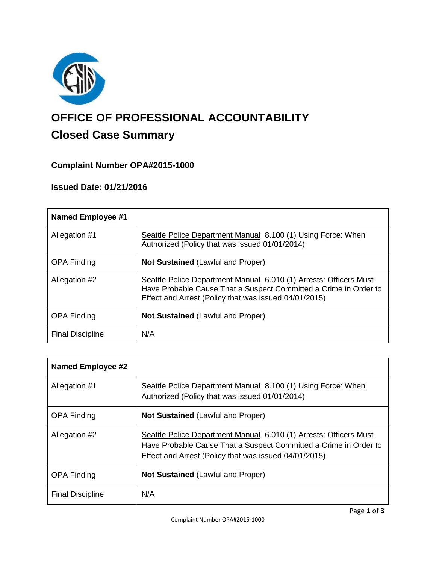

# **OFFICE OF PROFESSIONAL ACCOUNTABILITY Closed Case Summary**

# **Complaint Number OPA#2015-1000**

# **Issued Date: 01/21/2016**

| <b>Named Employee #1</b> |                                                                                                                                                                                                |
|--------------------------|------------------------------------------------------------------------------------------------------------------------------------------------------------------------------------------------|
| Allegation #1            | Seattle Police Department Manual 8.100 (1) Using Force: When<br>Authorized (Policy that was issued 01/01/2014)                                                                                 |
| <b>OPA Finding</b>       | <b>Not Sustained (Lawful and Proper)</b>                                                                                                                                                       |
| Allegation #2            | Seattle Police Department Manual 6.010 (1) Arrests: Officers Must<br>Have Probable Cause That a Suspect Committed a Crime in Order to<br>Effect and Arrest (Policy that was issued 04/01/2015) |
| <b>OPA Finding</b>       | <b>Not Sustained (Lawful and Proper)</b>                                                                                                                                                       |
| <b>Final Discipline</b>  | N/A                                                                                                                                                                                            |

| <b>Named Employee #2</b> |                                                                                                                                                                                                |
|--------------------------|------------------------------------------------------------------------------------------------------------------------------------------------------------------------------------------------|
| Allegation #1            | Seattle Police Department Manual 8.100 (1) Using Force: When<br>Authorized (Policy that was issued 01/01/2014)                                                                                 |
| <b>OPA Finding</b>       | <b>Not Sustained (Lawful and Proper)</b>                                                                                                                                                       |
| Allegation #2            | Seattle Police Department Manual 6.010 (1) Arrests: Officers Must<br>Have Probable Cause That a Suspect Committed a Crime in Order to<br>Effect and Arrest (Policy that was issued 04/01/2015) |
| <b>OPA Finding</b>       | <b>Not Sustained (Lawful and Proper)</b>                                                                                                                                                       |
| <b>Final Discipline</b>  | N/A                                                                                                                                                                                            |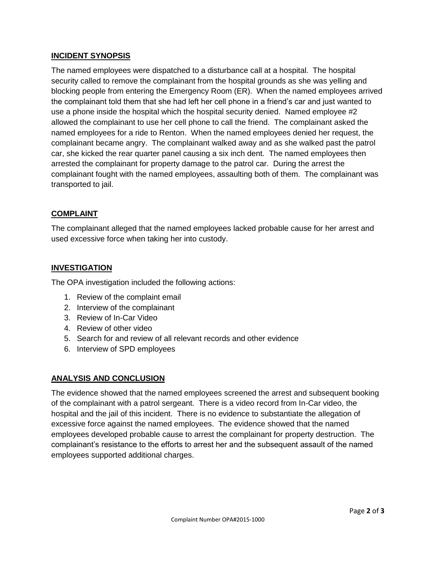# **INCIDENT SYNOPSIS**

The named employees were dispatched to a disturbance call at a hospital. The hospital security called to remove the complainant from the hospital grounds as she was yelling and blocking people from entering the Emergency Room (ER). When the named employees arrived the complainant told them that she had left her cell phone in a friend's car and just wanted to use a phone inside the hospital which the hospital security denied. Named employee #2 allowed the complainant to use her cell phone to call the friend. The complainant asked the named employees for a ride to Renton. When the named employees denied her request, the complainant became angry. The complainant walked away and as she walked past the patrol car, she kicked the rear quarter panel causing a six inch dent. The named employees then arrested the complainant for property damage to the patrol car. During the arrest the complainant fought with the named employees, assaulting both of them. The complainant was transported to jail.

# **COMPLAINT**

The complainant alleged that the named employees lacked probable cause for her arrest and used excessive force when taking her into custody.

# **INVESTIGATION**

The OPA investigation included the following actions:

- 1. Review of the complaint email
- 2. Interview of the complainant
- 3. Review of In-Car Video
- 4. Review of other video
- 5. Search for and review of all relevant records and other evidence
- 6. Interview of SPD employees

#### **ANALYSIS AND CONCLUSION**

The evidence showed that the named employees screened the arrest and subsequent booking of the complainant with a patrol sergeant. There is a video record from In-Car video, the hospital and the jail of this incident. There is no evidence to substantiate the allegation of excessive force against the named employees. The evidence showed that the named employees developed probable cause to arrest the complainant for property destruction. The complainant's resistance to the efforts to arrest her and the subsequent assault of the named employees supported additional charges.